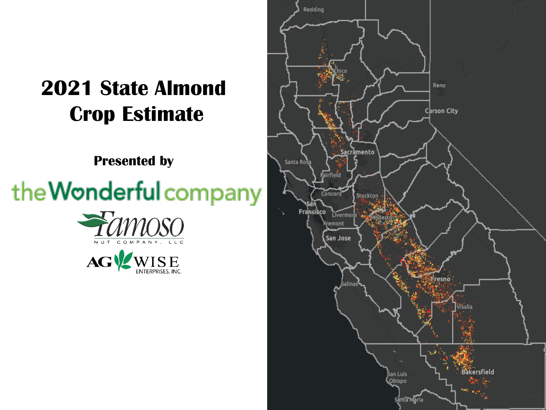## **2021 State Almond Crop Estimate**

**Presented by**

# the Wonderful company





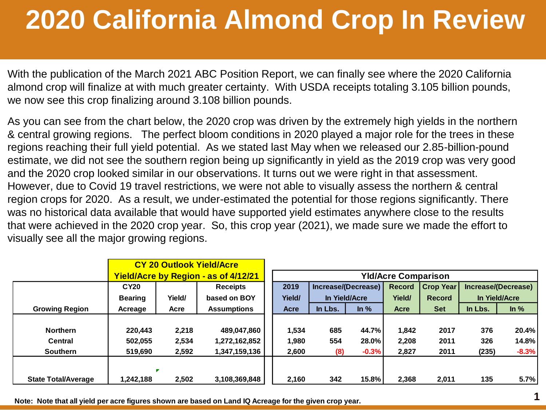## **2020 California Almond Crop In Review**

With the publication of the March 2021 ABC Position Report, we can finally see where the 2020 California almond crop will finalize at with much greater certainty. With USDA receipts totaling 3.105 billion pounds, we now see this crop finalizing around 3.108 billion pounds.

As you can see from the chart below, the 2020 crop was driven by the extremely high yields in the northern & central growing regions. The perfect bloom conditions in 2020 played a major role for the trees in these regions reaching their full yield potential. As we stated last May when we released our 2.85-billion-pound estimate, we did not see the southern region being up significantly in yield as the 2019 crop was very good and the 2020 crop looked similar in our observations. It turns out we were right in that assessment. However, due to Covid 19 travel restrictions, we were not able to visually assess the northern & central region crops for 2020. As a result, we under-estimated the potential for those regions significantly. There was no historical data available that would have supported yield estimates anywhere close to the results that were achieved in the 2020 crop year. So, this crop year (2021), we made sure we made the effort to visually see all the major growing regions.

|                            |                |            | <b>CY 20 Outlook Yield/Acre</b>             |                            |                                                |         |                                   |            |               |         |  |                     |  |
|----------------------------|----------------|------------|---------------------------------------------|----------------------------|------------------------------------------------|---------|-----------------------------------|------------|---------------|---------|--|---------------------|--|
|                            |                |            | <b>Yield/Acre by Region - as of 4/12/21</b> | <b>YId/Acre Comparison</b> |                                                |         |                                   |            |               |         |  |                     |  |
|                            | <b>CY20</b>    |            | <b>Receipts</b>                             | 2019                       | Increase/(Decrease)<br>Yield/<br>In Yield/Acre |         | <b>Crop Year</b><br><b>Record</b> |            |               |         |  | Increase/(Decrease) |  |
|                            | <b>Bearing</b> | Yield/     | based on BOY                                |                            |                                                |         | Yield/                            |            | In Yield/Acre |         |  |                     |  |
| <b>Growing Region</b>      | Acreage        | Acre       | <b>Assumptions</b>                          | Acre                       | In Lbs.                                        | In $%$  | Acre                              | <b>Set</b> | In Lbs.       | ln %    |  |                     |  |
|                            |                |            |                                             |                            |                                                |         |                                   |            |               |         |  |                     |  |
| <b>Northern</b>            | 220,443        | 2,218      | 489,047,860                                 | 1,534                      | 685<br>44.7%                                   |         | 1,842                             | 2017       | 376           | 20.4%   |  |                     |  |
| <b>Central</b>             | 502.055        | 2,534      | 1,272,162,852                               | 1,980                      | 554                                            | 28.0%   | 2.208                             | 2011       | 326           | 14.8%   |  |                     |  |
| <b>Southern</b>            | 519,690        | 2,592      | 1,347,159,136                               | 2,600                      | (8)                                            | $-0.3%$ | 2,827                             | 2011       | (235)         | $-8.3%$ |  |                     |  |
|                            |                |            |                                             |                            |                                                |         |                                   |            |               |         |  |                     |  |
| <b>State Total/Average</b> | 1,242,188      | ×<br>2,502 | 3,108,369,848                               | 2,160                      | 342                                            | 15.8%   | 2.368                             | 2,011      | 135           | 5.7%    |  |                     |  |

**Note: Note that all yield per acre figures shown are based on Land IQ Acreage for the given crop year.**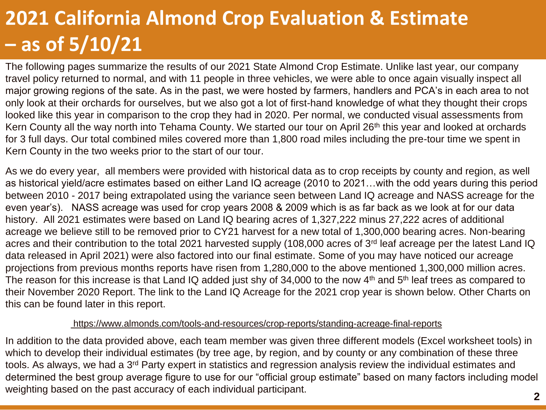## **2021 California Almond Crop Evaluation & Estimate – as of 5/10/21**

The following pages summarize the results of our 2021 State Almond Crop Estimate. Unlike last year, our company travel policy returned to normal, and with 11 people in three vehicles, we were able to once again visually inspect all major growing regions of the sate. As in the past, we were hosted by farmers, handlers and PCA's in each area to not only look at their orchards for ourselves, but we also got a lot of first-hand knowledge of what they thought their crops looked like this year in comparison to the crop they had in 2020. Per normal, we conducted visual assessments from Kern County all the way north into Tehama County. We started our tour on April 26<sup>th</sup> this year and looked at orchards for 3 full days. Our total combined miles covered more than 1,800 road miles including the pre-tour time we spent in Kern County in the two weeks prior to the start of our tour.

As we do every year, all members were provided with historical data as to crop receipts by county and region, as well as historical yield/acre estimates based on either Land IQ acreage (2010 to 2021…with the odd years during this period between 2010 - 2017 being extrapolated using the variance seen between Land IQ acreage and NASS acreage for the even year's). NASS acreage was used for crop years 2008 & 2009 which is as far back as we look at for our data history. All 2021 estimates were based on Land IQ bearing acres of 1,327,222 minus 27,222 acres of additional acreage we believe still to be removed prior to CY21 harvest for a new total of 1,300,000 bearing acres. Non-bearing acres and their contribution to the total 2021 harvested supply (108,000 acres of 3<sup>rd</sup> leaf acreage per the latest Land IQ data released in April 2021) were also factored into our final estimate. Some of you may have noticed our acreage projections from previous months reports have risen from 1,280,000 to the above mentioned 1,300,000 million acres. The reason for this increase is that Land IQ added just shy of 34,000 to the now 4<sup>th</sup> and 5<sup>th</sup> leaf trees as compared to their November 2020 Report. The link to the Land IQ Acreage for the 2021 crop year is shown below. Other Charts on this can be found later in this report.

#### <https://www.almonds.com/tools-and-resources/crop-reports/standing-acreage-final-reports>

In addition to the data provided above, each team member was given three different models (Excel worksheet tools) in which to develop their individual estimates (by tree age, by region, and by county or any combination of these three tools. As always, we had a 3<sup>rd</sup> Party expert in statistics and regression analysis review the individual estimates and determined the best group average figure to use for our "official group estimate" based on many factors including model weighting based on the past accuracy of each individual participant.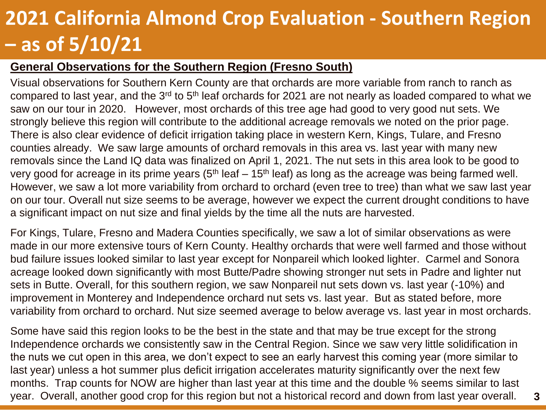### **2021 California Almond Crop Evaluation - Southern Region – as of 5/10/21**

#### **General Observations for the Southern Region (Fresno South)**

Visual observations for Southern Kern County are that orchards are more variable from ranch to ranch as compared to last year, and the 3<sup>rd</sup> to 5<sup>th</sup> leaf orchards for 2021 are not nearly as loaded compared to what we saw on our tour in 2020. However, most orchards of this tree age had good to very good nut sets. We strongly believe this region will contribute to the additional acreage removals we noted on the prior page. There is also clear evidence of deficit irrigation taking place in western Kern, Kings, Tulare, and Fresno counties already. We saw large amounts of orchard removals in this area vs. last year with many new removals since the Land IQ data was finalized on April 1, 2021. The nut sets in this area look to be good to very good for acreage in its prime years  $(5<sup>th</sup>$  leaf – 15<sup>th</sup> leaf) as long as the acreage was being farmed well. However, we saw a lot more variability from orchard to orchard (even tree to tree) than what we saw last year on our tour. Overall nut size seems to be average, however we expect the current drought conditions to have a significant impact on nut size and final yields by the time all the nuts are harvested.

For Kings, Tulare, Fresno and Madera Counties specifically, we saw a lot of similar observations as were made in our more extensive tours of Kern County. Healthy orchards that were well farmed and those without bud failure issues looked similar to last year except for Nonpareil which looked lighter. Carmel and Sonora acreage looked down significantly with most Butte/Padre showing stronger nut sets in Padre and lighter nut sets in Butte. Overall, for this southern region, we saw Nonpareil nut sets down vs. last year (-10%) and improvement in Monterey and Independence orchard nut sets vs. last year. But as stated before, more variability from orchard to orchard. Nut size seemed average to below average vs. last year in most orchards.

Some have said this region looks to be the best in the state and that may be true except for the strong Independence orchards we consistently saw in the Central Region. Since we saw very little solidification in the nuts we cut open in this area, we don't expect to see an early harvest this coming year (more similar to last year) unless a hot summer plus deficit irrigation accelerates maturity significantly over the next few months. Trap counts for NOW are higher than last year at this time and the double % seems similar to last year. Overall, another good crop for this region but not a historical record and down from last year overall.

**3**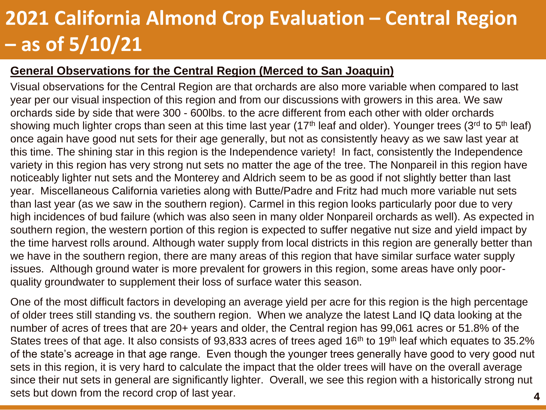### **2021 California Almond Crop Evaluation – Central Region – as of 5/10/21**

#### **General Observations for the Central Region (Merced to San Joaquin)**

Visual observations for the Central Region are that orchards are also more variable when compared to last year per our visual inspection of this region and from our discussions with growers in this area. We saw orchards side by side that were 300 - 600lbs. to the acre different from each other with older orchards showing much lighter crops than seen at this time last year (17<sup>th</sup> leaf and older). Younger trees (3<sup>rd</sup> to 5<sup>th</sup> leaf) once again have good nut sets for their age generally, but not as consistently heavy as we saw last year at this time. The shining star in this region is the Independence variety! In fact, consistently the Independence variety in this region has very strong nut sets no matter the age of the tree. The Nonpareil in this region have noticeably lighter nut sets and the Monterey and Aldrich seem to be as good if not slightly better than last year. Miscellaneous California varieties along with Butte/Padre and Fritz had much more variable nut sets than last year (as we saw in the southern region). Carmel in this region looks particularly poor due to very high incidences of bud failure (which was also seen in many older Nonpareil orchards as well). As expected in southern region, the western portion of this region is expected to suffer negative nut size and yield impact by the time harvest rolls around. Although water supply from local districts in this region are generally better than we have in the southern region, there are many areas of this region that have similar surface water supply issues. Although ground water is more prevalent for growers in this region, some areas have only poorquality groundwater to supplement their loss of surface water this season.

One of the most difficult factors in developing an average yield per acre for this region is the high percentage of older trees still standing vs. the southern region. When we analyze the latest Land IQ data looking at the number of acres of trees that are 20+ years and older, the Central region has 99,061 acres or 51.8% of the States trees of that age. It also consists of 93,833 acres of trees aged 16<sup>th</sup> to 19<sup>th</sup> leaf which equates to 35.2% of the state's acreage in that age range. Even though the younger trees generally have good to very good nut sets in this region, it is very hard to calculate the impact that the older trees will have on the overall average since their nut sets in general are significantly lighter. Overall, we see this region with a historically strong nut sets but down from the record crop of last year.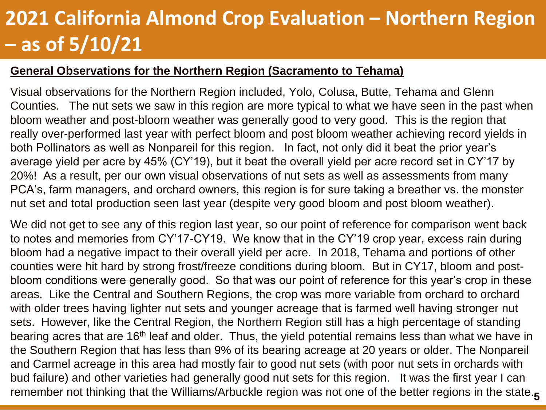### **2021 California Almond Crop Evaluation – Northern Region – as of 5/10/21**

#### **General Observations for the Northern Region (Sacramento to Tehama)**

Visual observations for the Northern Region included, Yolo, Colusa, Butte, Tehama and Glenn Counties. The nut sets we saw in this region are more typical to what we have seen in the past when bloom weather and post-bloom weather was generally good to very good. This is the region that really over-performed last year with perfect bloom and post bloom weather achieving record yields in both Pollinators as well as Nonpareil for this region. In fact, not only did it beat the prior year's average yield per acre by 45% (CY'19), but it beat the overall yield per acre record set in CY'17 by 20%! As a result, per our own visual observations of nut sets as well as assessments from many PCA's, farm managers, and orchard owners, this region is for sure taking a breather vs. the monster nut set and total production seen last year (despite very good bloom and post bloom weather).

We did not get to see any of this region last year, so our point of reference for comparison went back to notes and memories from CY'17-CY19. We know that in the CY'19 crop year, excess rain during bloom had a negative impact to their overall yield per acre. In 2018, Tehama and portions of other counties were hit hard by strong frost/freeze conditions during bloom. But in CY17, bloom and postbloom conditions were generally good. So that was our point of reference for this year's crop in these areas. Like the Central and Southern Regions, the crop was more variable from orchard to orchard with older trees having lighter nut sets and younger acreage that is farmed well having stronger nut sets. However, like the Central Region, the Northern Region still has a high percentage of standing bearing acres that are 16<sup>th</sup> leaf and older. Thus, the yield potential remains less than what we have in the Southern Region that has less than 9% of its bearing acreage at 20 years or older. The Nonpareil and Carmel acreage in this area had mostly fair to good nut sets (with poor nut sets in orchards with bud failure) and other varieties had generally good nut sets for this region. It was the first year I can remember not thinking that the Williams/Arbuckle region was not one of the better regions in the state. **5**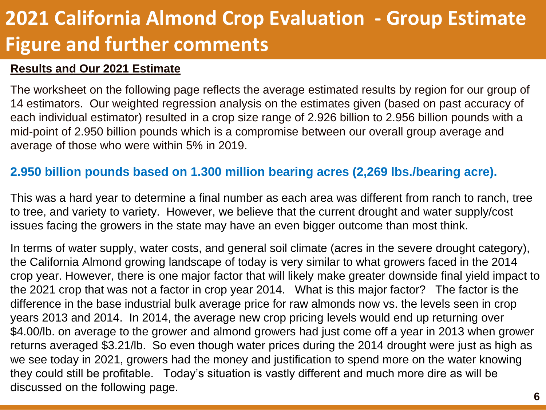### **2021 California Almond Crop Evaluation - Group Estimate Figure and further comments**

#### **Results and Our 2021 Estimate**

The worksheet on the following page reflects the average estimated results by region for our group of 14 estimators. Our weighted regression analysis on the estimates given (based on past accuracy of each individual estimator) resulted in a crop size range of 2.926 billion to 2.956 billion pounds with a mid-point of 2.950 billion pounds which is a compromise between our overall group average and average of those who were within 5% in 2019.

### **2.950 billion pounds based on 1.300 million bearing acres (2,269 lbs./bearing acre).**

This was a hard year to determine a final number as each area was different from ranch to ranch, tree to tree, and variety to variety. However, we believe that the current drought and water supply/cost issues facing the growers in the state may have an even bigger outcome than most think.

In terms of water supply, water costs, and general soil climate (acres in the severe drought category), the California Almond growing landscape of today is very similar to what growers faced in the 2014 crop year. However, there is one major factor that will likely make greater downside final yield impact to the 2021 crop that was not a factor in crop year 2014. What is this major factor? The factor is the difference in the base industrial bulk average price for raw almonds now vs. the levels seen in crop years 2013 and 2014. In 2014, the average new crop pricing levels would end up returning over \$4.00/lb. on average to the grower and almond growers had just come off a year in 2013 when grower returns averaged \$3.21/lb. So even though water prices during the 2014 drought were just as high as we see today in 2021, growers had the money and justification to spend more on the water knowing they could still be profitable. Today's situation is vastly different and much more dire as will be discussed on the following page.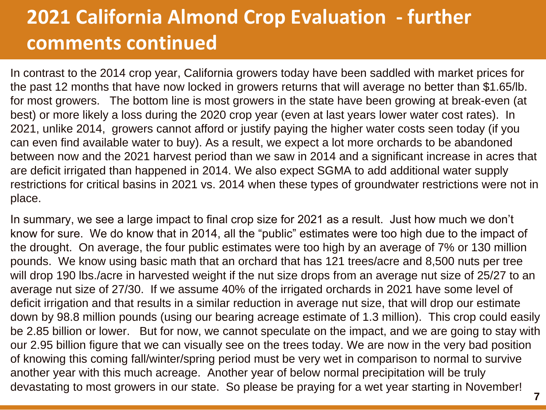### **2021 California Almond Crop Evaluation - further comments continued**

In contrast to the 2014 crop year, California growers today have been saddled with market prices for the past 12 months that have now locked in growers returns that will average no better than \$1.65/lb. for most growers. The bottom line is most growers in the state have been growing at break-even (at best) or more likely a loss during the 2020 crop year (even at last years lower water cost rates). In 2021, unlike 2014, growers cannot afford or justify paying the higher water costs seen today (if you can even find available water to buy). As a result, we expect a lot more orchards to be abandoned between now and the 2021 harvest period than we saw in 2014 and a significant increase in acres that are deficit irrigated than happened in 2014. We also expect SGMA to add additional water supply restrictions for critical basins in 2021 vs. 2014 when these types of groundwater restrictions were not in place.

In summary, we see a large impact to final crop size for 2021 as a result. Just how much we don't know for sure. We do know that in 2014, all the "public" estimates were too high due to the impact of the drought. On average, the four public estimates were too high by an average of 7% or 130 million pounds. We know using basic math that an orchard that has 121 trees/acre and 8,500 nuts per tree will drop 190 lbs./acre in harvested weight if the nut size drops from an average nut size of 25/27 to an average nut size of 27/30. If we assume 40% of the irrigated orchards in 2021 have some level of deficit irrigation and that results in a similar reduction in average nut size, that will drop our estimate down by 98.8 million pounds (using our bearing acreage estimate of 1.3 million). This crop could easily be 2.85 billion or lower. But for now, we cannot speculate on the impact, and we are going to stay with our 2.95 billion figure that we can visually see on the trees today. We are now in the very bad position of knowing this coming fall/winter/spring period must be very wet in comparison to normal to survive another year with this much acreage. Another year of below normal precipitation will be truly devastating to most growers in our state. So please be praying for a wet year starting in November!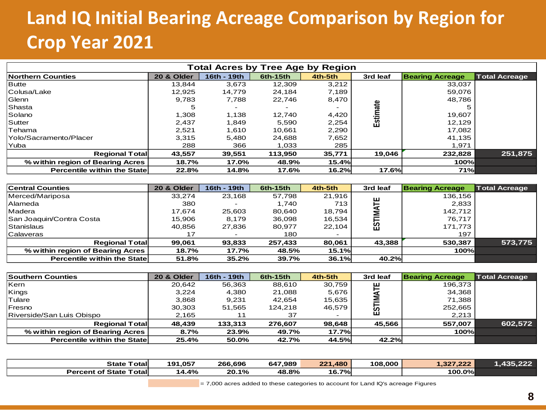### **Land IQ Initial Bearing Acreage Comparison by Region for Crop Year 2021**

|                                     |            | <b>Total Acres by Tree Age by Region</b> |          |         |          |                        |                      |
|-------------------------------------|------------|------------------------------------------|----------|---------|----------|------------------------|----------------------|
| Northern Counties                   | 20 & Older | 16th - 19th                              | 6th-15th | 4th-5th | 3rd leaf | <b>Bearing Acreage</b> | <b>Total Acreage</b> |
| <b>Butte</b>                        | 13,844     | 3,673                                    | 12,309   | 3,212   |          | 33,037                 |                      |
| Colusa/Lake                         | 12,925     | 14,779                                   | 24,184   | 7,189   |          | 59,076                 |                      |
| Glenn                               | 9,783      | 7,788                                    | 22,746   | 8,470   |          | 48,786                 |                      |
| Shasta                              | 5          |                                          |          |         | Estimate |                        |                      |
| Solano                              | 1,308      | 1,138                                    | 12,740   | 4,420   |          | 19,607                 |                      |
| Sutter                              | 2,437      | 1,849                                    | 5,590    | 2,254   |          | 12,129                 |                      |
| Tehama                              | 2,521      | 1,610                                    | 10,661   | 2,290   |          | 17,082                 |                      |
| lYolo/Sacramento/Placer             | 3,315      | 5,480                                    | 24,688   | 7,652   |          | 41,135                 |                      |
| Yuba                                | 288        | 366                                      | 1,033    | 285     |          | 1,971                  |                      |
| <b>Regional Total</b>               | 43,557     | 39,551                                   | 113,950  | 35,771  | 19,046   | 232,828                | 251,875              |
| % within region of Bearing Acres    | 18.7%      | 17.0%                                    | 48.9%    | 15.4%   |          | 100%                   |                      |
| <b>Percentile within the Statel</b> | 22.8%      | 14.8%                                    | 17.6%    | 16.2%   | 17.6%    | <b>71%</b>             |                      |
|                                     |            |                                          |          |         |          |                        |                      |
| <b>Central Counties</b>             | 20 & Older | 16th - 19th                              | 6th-15th | 4th-5th | 3rd leaf | <b>Bearing Acreage</b> | <b>Total Acreage</b> |
| Merced/Mariposa                     | 33,274     | 23,168                                   | 57,798   | 21,916  |          | 136,156                |                      |
| Alameda                             | 380        |                                          | 1,740    | 713     |          | 2,833                  |                      |
| Madera                              | 17,674     | 25,603                                   | 80,640   | 18,794  | ESTIMATE | 142,712                |                      |
| San Joaquin/Contra Costa            | 15,906     | 8,179                                    | 36,098   | 16,534  |          | 76,717                 |                      |
| Stanislaus                          | 40,856     | 27,836                                   | 80,977   | 22,104  |          | 171,773                |                      |
|                                     |            |                                          |          |         |          |                        |                      |

| <b>Central Counties</b>          | 20 & Older | 16th - 19th | 6th-15th | 4th-5th | 3rd leaf | <b>Bearing Acreage</b> | <b>Total Acreage</b> |
|----------------------------------|------------|-------------|----------|---------|----------|------------------------|----------------------|
| Merced/Mariposa                  | 33.274     | 23,168      | 57,798   | 21,916  |          | 136,156                |                      |
| <b>Alameda</b>                   | 380        | -           | 1.740    | 713     | 쁜        | 2,833                  |                      |
| Madera                           | 17.674     | 25,603      | 80.640   | 18.794  |          | 142.712                |                      |
| San Joaquin/Contra Costa         | 15.906     | 8.179       | 36,098   | 16,534  |          | 76.717                 |                      |
| Stanislaus                       | 40,856     | 27,836      | 80,977   | 22.104  | 15<br>53 | 171,773                |                      |
| Calaveras                        | 17         |             | 180      |         |          | 197                    |                      |
| <b>Regional Total</b>            | 99,061     | 93,833      | 257.433  | 80,061  | 43,388   | 530.387                | 573.775              |
| % within region of Bearing Acres | 18.7%      | 17.7%       | 48.5%    | 15.1%   |          | 100%                   |                      |
| Percentile within the State      | 51.8%      | 35.2%       | 39.7%    | 36.1%   | 40.2%    |                        |                      |

| Southern Counties                   | 20 & Older | 16th - 19th                                                                        | 6th-15th | 4th-5th      | 3rd leaf | <b>Bearing Acreage</b> | <b>Total Acreage</b> |
|-------------------------------------|------------|------------------------------------------------------------------------------------|----------|--------------|----------|------------------------|----------------------|
| Kern                                | 20.642     | 56.363                                                                             | 88,610   | 30.759       | 튼        | 196,373                |                      |
| Kings                               | 3,224      | 4,380                                                                              | 21,088   | 5,676        |          | 34,368                 |                      |
| Tulare                              | 3,868      | 9,231                                                                              | 42,654   | 15,635       |          | 71,388                 |                      |
| Fresno                              | 30,303     | 51,565                                                                             | 124,218  | 46,579       | ESTI     | 252,665                |                      |
| Riverside/San Luis Obispo           | 2,165      | 11                                                                                 | 37       |              |          | 2,213                  |                      |
| <b>Regional Total</b>               | 48,439     | 133.313                                                                            | 276.607  | 98,648       | 45,566   | 557,007                | 602,572              |
| % within region of Bearing Acres    | 8.7%       | 23.9%                                                                              | 49.7%    | <b>17.7%</b> |          | 100%                   |                      |
| <b>Percentile within the Statel</b> | 25.4%      | 50.0%                                                                              | 42.7%    | 44.5%        | 42.2%    |                        |                      |
|                                     |            |                                                                                    |          |              |          |                        |                      |
| <b>State Totall</b>                 | 191,057    | 266,696                                                                            | 647,989  | 221,480      | 108,000  | 1,327,222              | 1,435,222            |
| <b>Percent of State Totall</b>      | 14.4%      | 20.1%                                                                              | 48.8%    | 16.7%        |          | $100.0\%$              |                      |
|                                     |            | $=$ 7,000 acres added to these categories to account for Land IQ's acreage Figures |          |              |          |                        |                      |

| <b>State</b><br>⊤otalı            | .057<br>191 | 266,696 | 647,989 | 480<br><b>OO4</b> | 108,000 | 22<br>0.00<br>$\epsilon$ . 2.27<br>1524 | 222<br>49 F |
|-----------------------------------|-------------|---------|---------|-------------------|---------|-----------------------------------------|-------------|
| Totall<br><b>Percent of State</b> | 14.4%       | 20.1%   | 48.8%   | 16.7%             |         | 100.0%                                  |             |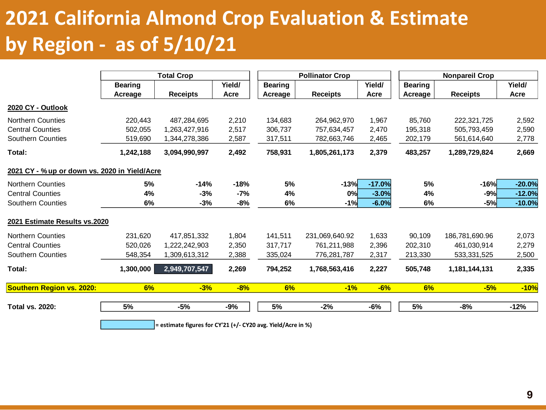### **2021 California Almond Crop Evaluation & Estimate by Region - as of 5/10/21**

|                                               |                | <b>Total Crop</b>                                            |        |                | <b>Pollinator Crop</b> |          | <b>Nonpareil Crop</b> |                 |          |  |  |  |
|-----------------------------------------------|----------------|--------------------------------------------------------------|--------|----------------|------------------------|----------|-----------------------|-----------------|----------|--|--|--|
|                                               | <b>Bearing</b> |                                                              | Yield/ | <b>Bearing</b> |                        | Yield/   | <b>Bearing</b>        |                 | Yield/   |  |  |  |
|                                               | Acreage        | <b>Receipts</b>                                              | Acre   | Acreage        | <b>Receipts</b>        | Acre     | Acreage               | <b>Receipts</b> | Acre     |  |  |  |
| 2020 CY - Outlook                             |                |                                                              |        |                |                        |          |                       |                 |          |  |  |  |
| <b>Northern Counties</b>                      | 220,443        | 487,284,695                                                  | 2,210  | 134,683        | 264,962,970            | 1,967    | 85,760                | 222,321,725     | 2,592    |  |  |  |
| <b>Central Counties</b>                       | 502,055        | 1,263,427,916                                                | 2,517  | 306,737        | 757,634,457            | 2,470    | 195,318               | 505,793,459     | 2,590    |  |  |  |
| <b>Southern Counties</b>                      | 519,690        | 1,344,278,386                                                | 2,587  | 317,511        | 782,663,746            | 2,465    | 202,179               | 561,614,640     | 2,778    |  |  |  |
| Total:                                        | 1,242,188      | 3,094,990,997                                                | 2,492  | 758,931        | 1,805,261,173          | 2,379    | 483,257               | 1,289,729,824   | 2,669    |  |  |  |
| 2021 CY - % up or down vs. 2020 in Yield/Acre |                |                                                              |        |                |                        |          |                       |                 |          |  |  |  |
| <b>Northern Counties</b>                      | 5%             | -14%                                                         | $-18%$ | 5%             | $-13%$                 | $-17.0%$ | 5%                    | $-16%$          | $-20.0%$ |  |  |  |
| <b>Central Counties</b>                       | 4%             | $-3%$                                                        | -7%    | 4%             | 0%                     | $-3.0%$  | 4%                    | $-9%$           | $-12.0%$ |  |  |  |
| Southern Counties                             | 6%             | $-3%$                                                        | -8%    | 6%             | $-1%$                  | $-6.0%$  | 6%                    | $-5%$           | $-10.0%$ |  |  |  |
| 2021 Estimate Results vs.2020                 |                |                                                              |        |                |                        |          |                       |                 |          |  |  |  |
| <b>Northern Counties</b>                      | 231,620        | 417,851,332                                                  | 1,804  | 141,511        | 231,069,640.92         | 1,633    | 90,109                | 186,781,690.96  | 2,073    |  |  |  |
| <b>Central Counties</b>                       | 520,026        | 1,222,242,903                                                | 2,350  | 317,717        | 761,211,988            | 2,396    | 202,310               | 461,030,914     | 2,279    |  |  |  |
| <b>Southern Counties</b>                      | 548,354        | 1,309,613,312                                                | 2,388  | 335,024        | 776,281,787            | 2,317    | 213,330               | 533,331,525     | 2,500    |  |  |  |
| Total:                                        | 1,300,000      | 2,949,707,547                                                | 2,269  | 794,252        | 1,768,563,416          | 2,227    | 505,748               | 1,181,144,131   | 2,335    |  |  |  |
| <b>Southern Region vs. 2020:</b>              | 6%             | $-3%$                                                        | $-8%$  | 6%             | $-1%$                  | $-6%$    | 6%                    | $-5%$           | $-10%$   |  |  |  |
| <b>Total vs. 2020:</b>                        | 5%             | -5%                                                          | $-9%$  | 5%             | $-2%$                  | -6%      | 5%                    | $-8%$           | $-12%$   |  |  |  |
|                                               |                | = estimate figures for CY'21 (+/- CY20 avg. Yield/Acre in %) |        |                |                        |          |                       |                 |          |  |  |  |

**9**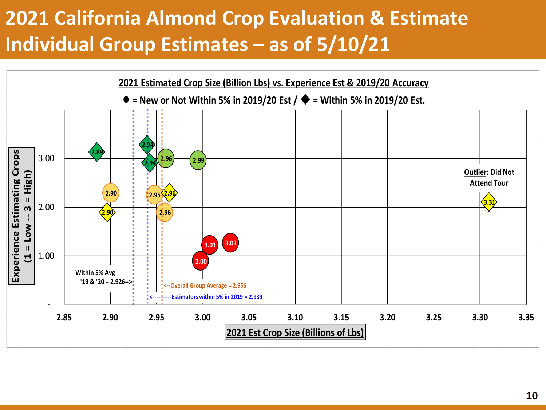### **2021 California Almond Crop Evaluation & Estimate Individual Group Estimates – as of 5/10/21**

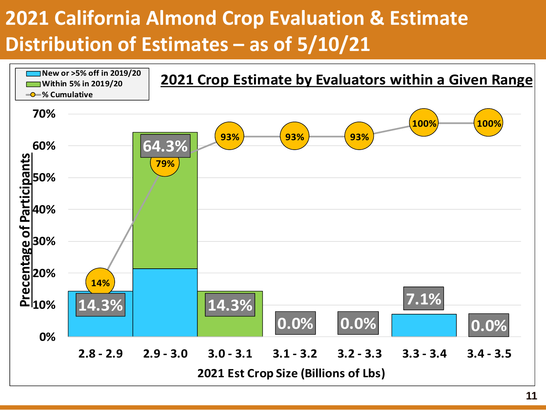### **2021 California Almond Crop Evaluation & Estimate Distribution of Estimates – as of 5/10/21**